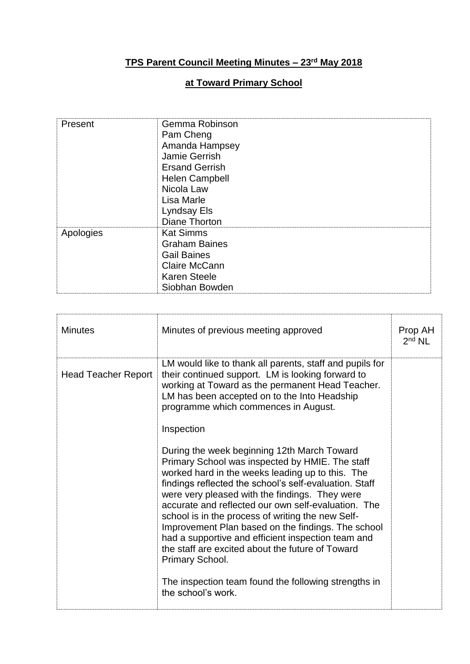## **TPS Parent Council Meeting Minutes – 23rd May 2018**

## **at Toward Primary School**

| Present   | Gemma Robinson<br>Pam Cheng<br>Amanda Hampsey<br>Jamie Gerrish<br><b>Ersand Gerrish</b><br>Helen Campbell<br>Nicola Law<br>Lisa Marle<br>Lyndsay Els<br>Diane Thorton |
|-----------|-----------------------------------------------------------------------------------------------------------------------------------------------------------------------|
| Apologies | <b>Kat Simms</b><br><b>Graham Baines</b><br><b>Gail Baines</b><br>Claire McCann<br><b>Karen Steele</b><br>Siobhan Bowden                                              |

| <b>Minutes</b>             | Minutes of previous meeting approved                                                                                                                                                                                                                                                                                                                                                                                                                                                                                                                          | Prop AH<br>$2nd$ NL |
|----------------------------|---------------------------------------------------------------------------------------------------------------------------------------------------------------------------------------------------------------------------------------------------------------------------------------------------------------------------------------------------------------------------------------------------------------------------------------------------------------------------------------------------------------------------------------------------------------|---------------------|
| <b>Head Teacher Report</b> | LM would like to thank all parents, staff and pupils for<br>their continued support. LM is looking forward to<br>working at Toward as the permanent Head Teacher.<br>LM has been accepted on to the Into Headship<br>programme which commences in August.                                                                                                                                                                                                                                                                                                     |                     |
|                            | Inspection                                                                                                                                                                                                                                                                                                                                                                                                                                                                                                                                                    |                     |
|                            | During the week beginning 12th March Toward<br>Primary School was inspected by HMIE. The staff<br>worked hard in the weeks leading up to this. The<br>findings reflected the school's self-evaluation. Staff<br>were very pleased with the findings. They were<br>accurate and reflected our own self-evaluation. The<br>school is in the process of writing the new Self-<br>Improvement Plan based on the findings. The school<br>had a supportive and efficient inspection team and<br>the staff are excited about the future of Toward<br>Primary School. |                     |
|                            | The inspection team found the following strengths in<br>the school's work.                                                                                                                                                                                                                                                                                                                                                                                                                                                                                    |                     |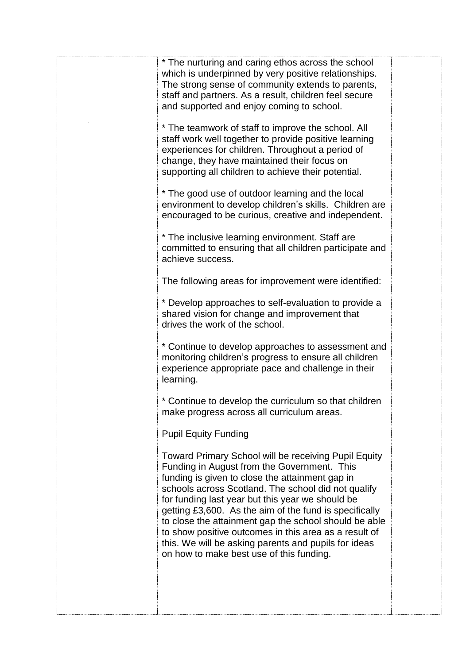| * The nurturing and caring ethos across the school<br>which is underpinned by very positive relationships.<br>The strong sense of community extends to parents,<br>staff and partners. As a result, children feel secure<br>and supported and enjoy coming to school.                                                                                                                                                                                                                                                                             |  |
|---------------------------------------------------------------------------------------------------------------------------------------------------------------------------------------------------------------------------------------------------------------------------------------------------------------------------------------------------------------------------------------------------------------------------------------------------------------------------------------------------------------------------------------------------|--|
| * The teamwork of staff to improve the school. All<br>staff work well together to provide positive learning<br>experiences for children. Throughout a period of<br>change, they have maintained their focus on<br>supporting all children to achieve their potential.                                                                                                                                                                                                                                                                             |  |
| * The good use of outdoor learning and the local<br>environment to develop children's skills. Children are<br>encouraged to be curious, creative and independent.                                                                                                                                                                                                                                                                                                                                                                                 |  |
| * The inclusive learning environment. Staff are<br>committed to ensuring that all children participate and<br>achieve success.                                                                                                                                                                                                                                                                                                                                                                                                                    |  |
| The following areas for improvement were identified:                                                                                                                                                                                                                                                                                                                                                                                                                                                                                              |  |
| * Develop approaches to self-evaluation to provide a<br>shared vision for change and improvement that<br>drives the work of the school.                                                                                                                                                                                                                                                                                                                                                                                                           |  |
| * Continue to develop approaches to assessment and<br>monitoring children's progress to ensure all children<br>experience appropriate pace and challenge in their<br>learning.                                                                                                                                                                                                                                                                                                                                                                    |  |
| * Continue to develop the curriculum so that children<br>make progress across all curriculum areas.                                                                                                                                                                                                                                                                                                                                                                                                                                               |  |
| <b>Pupil Equity Funding</b>                                                                                                                                                                                                                                                                                                                                                                                                                                                                                                                       |  |
| Toward Primary School will be receiving Pupil Equity<br>Funding in August from the Government. This<br>funding is given to close the attainment gap in<br>schools across Scotland. The school did not qualify<br>for funding last year but this year we should be<br>getting £3,600. As the aim of the fund is specifically<br>to close the attainment gap the school should be able<br>to show positive outcomes in this area as a result of<br>this. We will be asking parents and pupils for ideas<br>on how to make best use of this funding. |  |
|                                                                                                                                                                                                                                                                                                                                                                                                                                                                                                                                                   |  |

Ĩ.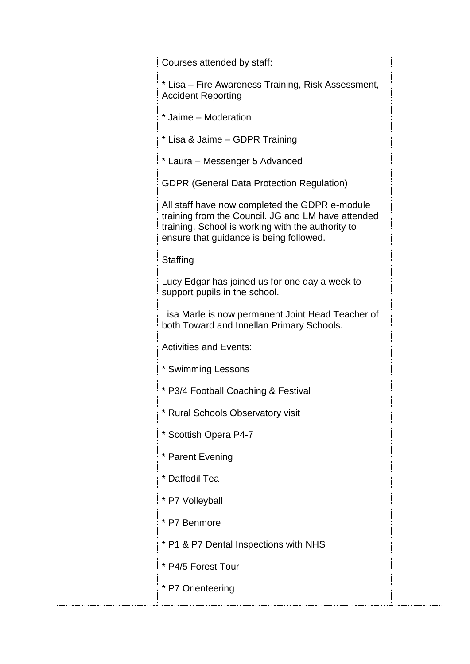| Courses attended by staff:                                                                                                                                                                           |
|------------------------------------------------------------------------------------------------------------------------------------------------------------------------------------------------------|
| * Lisa – Fire Awareness Training, Risk Assessment,<br><b>Accident Reporting</b>                                                                                                                      |
| * Jaime - Moderation                                                                                                                                                                                 |
| * Lisa & Jaime - GDPR Training                                                                                                                                                                       |
| * Laura - Messenger 5 Advanced                                                                                                                                                                       |
| <b>GDPR (General Data Protection Regulation)</b>                                                                                                                                                     |
| All staff have now completed the GDPR e-module<br>training from the Council. JG and LM have attended<br>training. School is working with the authority to<br>ensure that guidance is being followed. |
| Staffing                                                                                                                                                                                             |
| Lucy Edgar has joined us for one day a week to<br>support pupils in the school.                                                                                                                      |
| Lisa Marle is now permanent Joint Head Teacher of<br>both Toward and Innellan Primary Schools.                                                                                                       |
| <b>Activities and Events:</b>                                                                                                                                                                        |
| * Swimming Lessons                                                                                                                                                                                   |
| * P3/4 Football Coaching & Festival                                                                                                                                                                  |
| * Rural Schools Observatory visit                                                                                                                                                                    |
| * Scottish Opera P4-7                                                                                                                                                                                |
| * Parent Evening                                                                                                                                                                                     |
| * Daffodil Tea                                                                                                                                                                                       |
| * P7 Volleyball                                                                                                                                                                                      |
| * P7 Benmore                                                                                                                                                                                         |
| * P1 & P7 Dental Inspections with NHS                                                                                                                                                                |
| * P4/5 Forest Tour                                                                                                                                                                                   |
| * P7 Orienteering                                                                                                                                                                                    |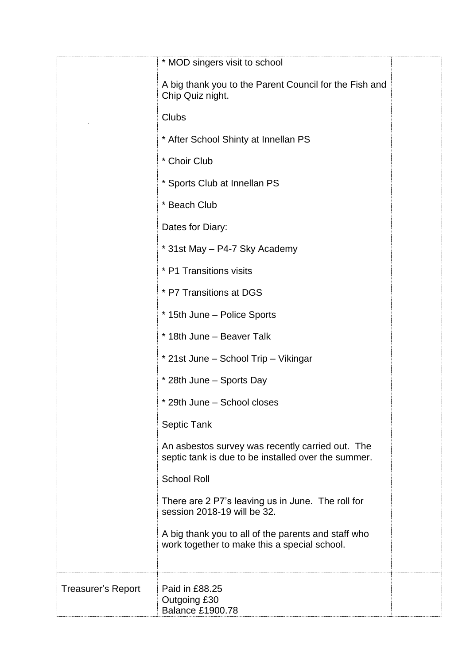|                           | * MOD singers visit to school                                                                           |
|---------------------------|---------------------------------------------------------------------------------------------------------|
|                           | A big thank you to the Parent Council for the Fish and<br>Chip Quiz night.                              |
|                           | <b>Clubs</b>                                                                                            |
|                           | * After School Shinty at Innellan PS                                                                    |
|                           | * Choir Club                                                                                            |
|                           | * Sports Club at Innellan PS                                                                            |
|                           | * Beach Club                                                                                            |
|                           | Dates for Diary:                                                                                        |
|                           | * 31st May - P4-7 Sky Academy                                                                           |
|                           | * P1 Transitions visits                                                                                 |
|                           | * P7 Transitions at DGS                                                                                 |
|                           | * 15th June - Police Sports                                                                             |
|                           | * 18th June - Beaver Talk                                                                               |
|                           | * 21st June – School Trip – Vikingar                                                                    |
|                           | * 28th June - Sports Day                                                                                |
|                           | * 29th June – School closes                                                                             |
|                           | Septic Tank                                                                                             |
|                           | An asbestos survey was recently carried out. The<br>septic tank is due to be installed over the summer. |
|                           | <b>School Roll</b>                                                                                      |
|                           | There are 2 P7's leaving us in June. The roll for<br>session 2018-19 will be 32.                        |
|                           | A big thank you to all of the parents and staff who<br>work together to make this a special school.     |
| <b>Treasurer's Report</b> | Paid in £88.25<br>Outgoing £30<br><b>Balance £1900.78</b>                                               |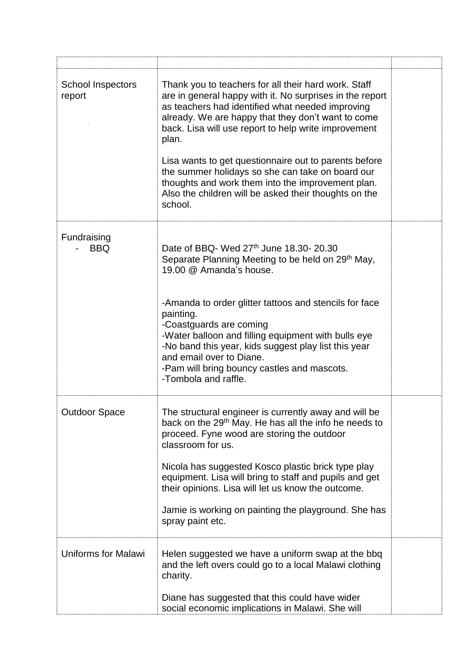| School Inspectors<br>report | Thank you to teachers for all their hard work. Staff<br>are in general happy with it. No surprises in the report<br>as teachers had identified what needed improving<br>already. We are happy that they don't want to come<br>back. Lisa will use report to help write improvement<br>plan.<br>Lisa wants to get questionnaire out to parents before<br>the summer holidays so she can take on board our<br>thoughts and work them into the improvement plan.<br>Also the children will be asked their thoughts on the<br>school. |  |
|-----------------------------|-----------------------------------------------------------------------------------------------------------------------------------------------------------------------------------------------------------------------------------------------------------------------------------------------------------------------------------------------------------------------------------------------------------------------------------------------------------------------------------------------------------------------------------|--|
| Fundraising<br><b>BBQ</b>   | Date of BBQ- Wed 27th June 18.30-20.30<br>Separate Planning Meeting to be held on 29 <sup>th</sup> May,<br>19.00 @ Amanda's house.<br>-Amanda to order glitter tattoos and stencils for face<br>painting.<br>-Coastguards are coming<br>-Water balloon and filling equipment with bulls eye<br>-No band this year, kids suggest play list this year<br>and email over to Diane.<br>-Pam will bring bouncy castles and mascots.<br>-Tombola and raffle.                                                                            |  |
| <b>Outdoor Space</b>        | The structural engineer is currently away and will be<br>back on the 29 <sup>th</sup> May. He has all the info he needs to<br>proceed. Fyne wood are storing the outdoor<br>classroom for us.<br>Nicola has suggested Kosco plastic brick type play<br>equipment. Lisa will bring to staff and pupils and get<br>their opinions. Lisa will let us know the outcome.<br>Jamie is working on painting the playground. She has<br>spray paint etc.                                                                                   |  |
| <b>Uniforms for Malawi</b>  | Helen suggested we have a uniform swap at the bbq<br>and the left overs could go to a local Malawi clothing<br>charity.<br>Diane has suggested that this could have wider<br>social economic implications in Malawi. She will                                                                                                                                                                                                                                                                                                     |  |